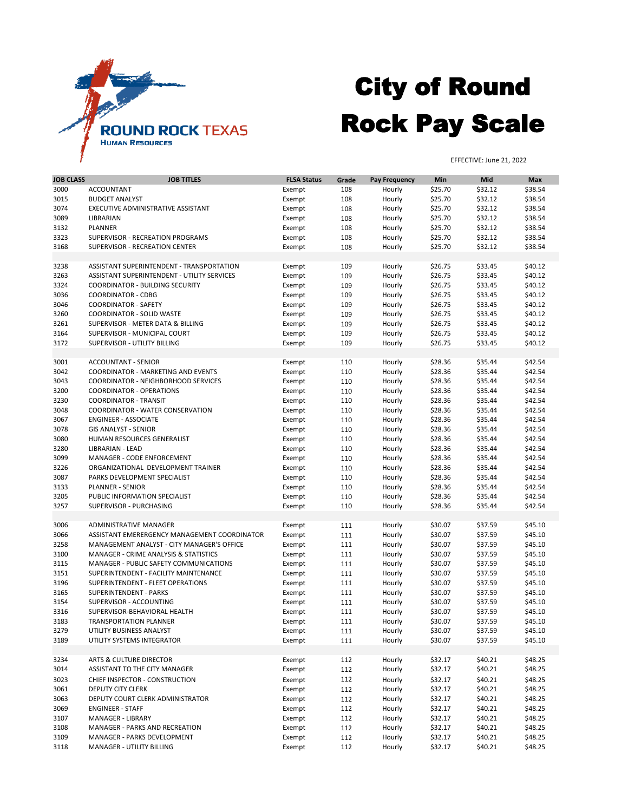| <b>JOB CLASS</b> | <b>JOB TITLES</b>                                | <b>FLSA Status</b> | Grade | <b>Pay Frequency</b> | <b>Min</b> | <b>Mid</b> | <b>Max</b> |
|------------------|--------------------------------------------------|--------------------|-------|----------------------|------------|------------|------------|
| 3000             | <b>ACCOUNTANT</b>                                | Exempt             | 108   | Hourly               | \$25.70    | \$32.12    | \$38.54    |
| 3015             | <b>BUDGET ANALYST</b>                            | Exempt             | 108   | Hourly               | \$25.70    | \$32.12    | \$38.54    |
| 3074             | EXECUTIVE ADMINISTRATIVE ASSISTANT               | Exempt             | 108   | Hourly               | \$25.70    | \$32.12    | \$38.54    |
| 3089             | LIBRARIAN                                        | Exempt             | 108   | Hourly               | \$25.70    | \$32.12    | \$38.54    |
| 3132             | <b>PLANNER</b>                                   | Exempt             | 108   | Hourly               | \$25.70    | \$32.12    | \$38.54    |
| 3323             | SUPERVISOR - RECREATION PROGRAMS                 | Exempt             | 108   | Hourly               | \$25.70    | \$32.12    | \$38.54    |
| 3168             | <b>SUPERVISOR - RECREATION CENTER</b>            |                    |       |                      |            | \$32.12    | \$38.54    |
|                  |                                                  | Exempt             | 108   | Hourly               | \$25.70    |            |            |
|                  |                                                  |                    |       |                      |            |            |            |
| 3238             | ASSISTANT SUPERINTENDENT - TRANSPORTATION        | Exempt             | 109   | Hourly               | \$26.75    | \$33.45    | \$40.12    |
| 3263             | ASSISTANT SUPERINTENDENT - UTILITY SERVICES      | Exempt             | 109   | Hourly               | \$26.75    | \$33.45    | \$40.12    |
| 3324             | <b>COORDINATOR - BUILDING SECURITY</b>           | Exempt             | 109   | Hourly               | \$26.75    | \$33.45    | \$40.12    |
| 3036             | <b>COORDINATOR - CDBG</b>                        | Exempt             | 109   | Hourly               | \$26.75    | \$33.45    | \$40.12    |
| 3046             | <b>COORDINATOR - SAFETY</b>                      | Exempt             | 109   | Hourly               | \$26.75    | \$33.45    | \$40.12    |
| 3260             | <b>COORDINATOR - SOLID WASTE</b>                 | Exempt             | 109   | Hourly               | \$26.75    | \$33.45    | \$40.12    |
| 3261             | SUPERVISOR - METER DATA & BILLING                | Exempt             | 109   | Hourly               | \$26.75    | \$33.45    | \$40.12    |
| 3164             | SUPERVISOR - MUNICIPAL COURT                     | Exempt             | 109   | Hourly               | \$26.75    | \$33.45    | \$40.12    |
| 3172             | SUPERVISOR - UTILITY BILLING                     | Exempt             | 109   | Hourly               | \$26.75    | \$33.45    | \$40.12    |
|                  |                                                  |                    |       |                      |            |            |            |
| 3001             | <b>ACCOUNTANT - SENIOR</b>                       | Exempt             | 110   | Hourly               | \$28.36    | \$35.44    | \$42.54    |
| 3042             | <b>COORDINATOR - MARKETING AND EVENTS</b>        | Exempt             | 110   | Hourly               | \$28.36    | \$35.44    | \$42.54    |
| 3043             | <b>COORDINATOR - NEIGHBORHOOD SERVICES</b>       | Exempt             | 110   | Hourly               | \$28.36    | \$35.44    | \$42.54    |
| 3200             | <b>COORDINATOR - OPERATIONS</b>                  | Exempt             | 110   | Hourly               | \$28.36    | \$35.44    | \$42.54    |
| 3230             | <b>COORDINATOR - TRANSIT</b>                     |                    | 110   | Hourly               | \$28.36    | \$35.44    | \$42.54    |
|                  |                                                  | Exempt             |       |                      |            |            |            |
| 3048             | <b>COORDINATOR - WATER CONSERVATION</b>          | Exempt             | 110   | Hourly               | \$28.36    | \$35.44    | \$42.54    |
| 3067             | <b>ENGINEER - ASSOCIATE</b>                      | Exempt             | 110   | Hourly               | \$28.36    | \$35.44    | \$42.54    |
| 3078             | <b>GIS ANALYST - SENIOR</b>                      | Exempt             | 110   | Hourly               | \$28.36    | \$35.44    | \$42.54    |
| 3080             | HUMAN RESOURCES GENERALIST                       | Exempt             | 110   | Hourly               | \$28.36    | \$35.44    | \$42.54    |
| 3280             | LIBRARIAN - LEAD                                 | Exempt             | 110   | Hourly               | \$28.36    | \$35.44    | \$42.54    |
| 3099             | <b>MANAGER - CODE ENFORCEMENT</b>                | Exempt             | 110   | Hourly               | \$28.36    | \$35.44    | \$42.54    |
| 3226             | ORGANIZATIONAL DEVELOPMENT TRAINER               | Exempt             | 110   | Hourly               | \$28.36    | \$35.44    | \$42.54    |
| 3087             | PARKS DEVELOPMENT SPECIALIST                     | Exempt             | 110   | Hourly               | \$28.36    | \$35.44    | \$42.54    |
| 3133             | <b>PLANNER - SENIOR</b>                          | Exempt             | 110   | Hourly               | \$28.36    | \$35.44    | \$42.54    |
| 3205             | PUBLIC INFORMATION SPECIALIST                    | Exempt             | 110   | Hourly               | \$28.36    | \$35.44    | \$42.54    |
| 3257             | SUPERVISOR - PURCHASING                          | Exempt             | 110   | Hourly               | \$28.36    | \$35.44    | \$42.54    |
|                  |                                                  |                    |       |                      |            |            |            |
| 3006             | ADMINISTRATIVE MANAGER                           | Exempt             | 111   | Hourly               | \$30.07    | \$37.59    | \$45.10    |
| 3066             | ASSISTANT EMERERGENCY MANAGEMENT COORDINATOR     | Exempt             | 111   | Hourly               | \$30.07    | \$37.59    | \$45.10    |
| 3258             | MANAGEMENT ANALYST - CITY MANAGER'S OFFICE       | Exempt             | 111   | Hourly               | \$30.07    | \$37.59    | \$45.10    |
|                  |                                                  |                    |       |                      | \$30.07    | \$37.59    |            |
| 3100             | <b>MANAGER - CRIME ANALYSIS &amp; STATISTICS</b> | Exempt             | 111   | Hourly               |            |            | \$45.10    |
| 3115             | MANAGER - PUBLIC SAFETY COMMUNICATIONS           | Exempt             | 111   | Hourly               | \$30.07    | \$37.59    | \$45.10    |
| 3151             | SUPERINTENDENT - FACILITY MAINTENANCE            | Exempt             | 111   | Hourly               | \$30.07    | \$37.59    | \$45.10    |
| 3196             | SUPERINTENDENT - FLEET OPERATIONS                | Exempt             | 111   | Hourly               | \$30.07    | \$37.59    | \$45.10    |
| 3165             | <b>SUPERINTENDENT - PARKS</b>                    | Exempt             | 111   | Hourly               | \$30.07    | \$37.59    | \$45.10    |
| 3154             | SUPERVISOR - ACCOUNTING                          | Exempt             | 111   | Hourly               | \$30.07    | \$37.59    | \$45.10    |
| 3316             | SUPERVISOR-BEHAVIORAL HEALTH                     | Exempt             | 111   | Hourly               | \$30.07    | \$37.59    | \$45.10    |
| 3183             | <b>TRANSPORTATION PLANNER</b>                    | Exempt             | 111   | Hourly               | \$30.07    | \$37.59    | \$45.10    |
| 3279             | UTILITY BUSINESS ANALYST                         | Exempt             | 111   | Hourly               | \$30.07    | \$37.59    | \$45.10    |
| 3189             | UTILITY SYSTEMS INTEGRATOR                       | Exempt             | 111   | Hourly               | \$30.07    | \$37.59    | \$45.10    |
|                  |                                                  |                    |       |                      |            |            |            |
| 3234             | <b>ARTS &amp; CULTURE DIRECTOR</b>               | Exempt             | 112   | Hourly               | \$32.17    | \$40.21    | \$48.25    |
| 3014             | ASSISTANT TO THE CITY MANAGER                    | Exempt             | 112   | Hourly               | \$32.17    | \$40.21    | \$48.25    |
| 3023             | CHIEF INSPECTOR - CONSTRUCTION                   | Exempt             | 112   | Hourly               | \$32.17    | \$40.21    | \$48.25    |
|                  | <b>DEPUTY CITY CLERK</b>                         |                    |       |                      |            |            |            |
| 3061             |                                                  | Exempt             | 112   | Hourly               | \$32.17    | \$40.21    | \$48.25    |
| 3063             | DEPUTY COURT CLERK ADMINISTRATOR                 | Exempt             | 112   | Hourly               | \$32.17    | \$40.21    | \$48.25    |
| 3069             | <b>ENGINEER - STAFF</b>                          | Exempt             | 112   | Hourly               | \$32.17    | \$40.21    | \$48.25    |
| 3107             | <b>MANAGER - LIBRARY</b>                         | Exempt             | 112   | Hourly               | \$32.17    | \$40.21    | \$48.25    |
| 3108             | MANAGER - PARKS AND RECREATION                   | Exempt             | 112   | Hourly               | \$32.17    | \$40.21    | \$48.25    |
| 3109             | MANAGER - PARKS DEVELOPMENT                      | Exempt             | 112   | Hourly               | \$32.17    | \$40.21    | \$48.25    |
| 3118             | <b>MANAGER - UTILITY BILLING</b>                 | Exempt             | 112   | Hourly               | \$32.17    | \$40.21    | \$48.25    |



## City of Round Rock Pay Scale

EFFECTIVE: June 21, 2022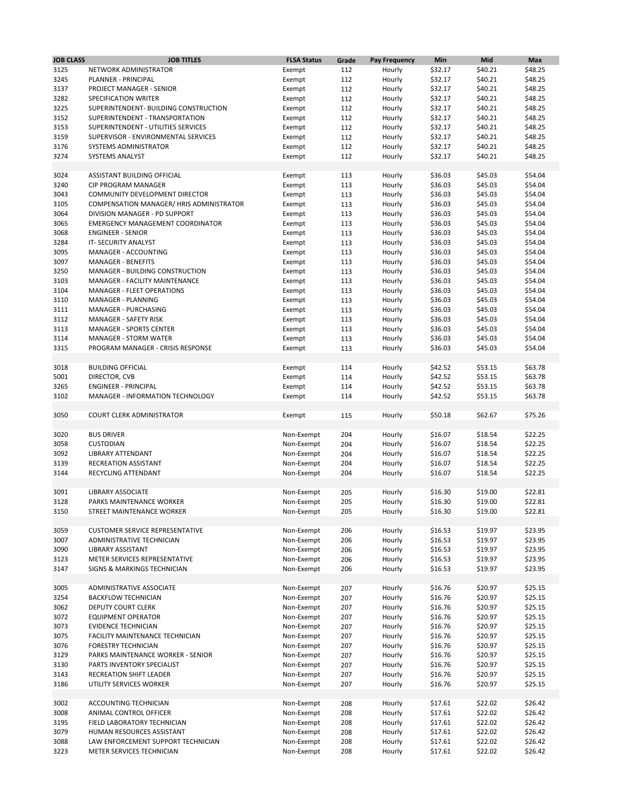| <b>JOB CLASS</b> | <b>JOB TITLES</b>                        | <b>FLSA Status</b> | Grade | <b>Pay Frequency</b> | <b>Min</b> | Mid     | <b>Max</b> |
|------------------|------------------------------------------|--------------------|-------|----------------------|------------|---------|------------|
| 3125             | NETWORK ADMINISTRATOR                    | Exempt             | 112   | Hourly               | \$32.17    | \$40.21 | \$48.25    |
| 3245             | PLANNER - PRINCIPAL                      | Exempt             | 112   | Hourly               | \$32.17    | \$40.21 | \$48.25    |
| 3137             | PROJECT MANAGER - SENIOR                 | Exempt             | 112   | Hourly               | \$32.17    | \$40.21 | \$48.25    |
| 3282             | SPECIFICATION WRITER                     | Exempt             | 112   | Hourly               | \$32.17    | \$40.21 | \$48.25    |
| 3225             | SUPERINTENDENT- BUILDING CONSTRUCTION    | Exempt             | 112   | Hourly               | \$32.17    | \$40.21 | \$48.25    |
| 3152             | SUPERINTENDENT - TRANSPORTATION          | Exempt             | 112   | Hourly               | \$32.17    | \$40.21 | \$48.25    |
| 3153             | SUPERINTENDENT - UTILITIES SERVICES      | Exempt             | 112   | Hourly               | \$32.17    | \$40.21 | \$48.25    |
| 3159             | SUPERVISOR - ENVIRONMENTAL SERVICES      | Exempt             | 112   | Hourly               | \$32.17    | \$40.21 | \$48.25    |
| 3176             | SYSTEMS ADMINISTRATOR                    |                    |       |                      | \$32.17    | \$40.21 | \$48.25    |
| 3274             |                                          | Exempt             | 112   | Hourly               |            |         |            |
|                  | <b>SYSTEMS ANALYST</b>                   | Exempt             | 112   | Hourly               | \$32.17    | \$40.21 | \$48.25    |
| 3024             | ASSISTANT BUILDING OFFICIAL              | Exempt             | 113   | Hourly               | \$36.03    | \$45.03 | \$54.04    |
| 3240             | <b>CIP PROGRAM MANAGER</b>               | Exempt             | 113   | Hourly               | \$36.03    | \$45.03 | \$54.04    |
| 3043             | COMMUNITY DEVELOPMENT DIRECTOR           | Exempt             | 113   | Hourly               | \$36.03    | \$45.03 | \$54.04    |
| 3105             | COMPENSATION MANAGER/ HRIS ADMINISTRATOR |                    |       |                      | \$36.03    | \$45.03 | \$54.04    |
| 3064             | DIVISION MANAGER - PD SUPPORT            | Exempt             | 113   | Hourly               | \$36.03    | \$45.03 | \$54.04    |
|                  |                                          | Exempt             | 113   | Hourly               |            |         |            |
| 3065             | <b>EMERGENCY MANAGEMENT COORDINATOR</b>  | Exempt             | 113   | Hourly               | \$36.03    | \$45.03 | \$54.04    |
| 3068             | <b>ENGINEER - SENIOR</b>                 | Exempt             | 113   | Hourly               | \$36.03    | \$45.03 | \$54.04    |
| 3284             | IT-SECURITY ANALYST                      | Exempt             | 113   | Hourly               | \$36.03    | \$45.03 | \$54.04    |
| 3095             | MANAGER - ACCOUNTING                     | Exempt             | 113   | Hourly               | \$36.03    | \$45.03 | \$54.04    |
| 3097             | <b>MANAGER - BENEFITS</b>                | Exempt             | 113   | Hourly               | \$36.03    | \$45.03 | \$54.04    |
| 3250             | MANAGER - BUILDING CONSTRUCTION          | Exempt             | 113   | Hourly               | \$36.03    | \$45.03 | \$54.04    |
| 3103             | <b>MANAGER - FACILITY MAINTENANCE</b>    | Exempt             | 113   | Hourly               | \$36.03    | \$45.03 | \$54.04    |
| 3104             | <b>MANAGER - FLEET OPERATIONS</b>        | Exempt             | 113   | Hourly               | \$36.03    | \$45.03 | \$54.04    |
| 3110             | MANAGER - PLANNING                       | Exempt             | 113   | Hourly               | \$36.03    | \$45.03 | \$54.04    |
| 3111             | MANAGER - PURCHASING                     | Exempt             | 113   | Hourly               | \$36.03    | \$45.03 | \$54.04    |
| 3112             | <b>MANAGER - SAFETY RISK</b>             | Exempt             | 113   | Hourly               | \$36.03    | \$45.03 | \$54.04    |
| 3113             | <b>MANAGER - SPORTS CENTER</b>           | Exempt             | 113   | Hourly               | \$36.03    | \$45.03 | \$54.04    |
| 3114             | <b>MANAGER - STORM WATER</b>             | Exempt             | 113   | Hourly               | \$36.03    | \$45.03 | \$54.04    |
| 3315             | PROGRAM MANAGER - CRISIS RESPONSE        | Exempt             | 113   | Hourly               | \$36.03    | \$45.03 | \$54.04    |
|                  |                                          |                    |       |                      |            |         |            |
| 3018             | <b>BUILDING OFFICIAL</b>                 | Exempt             | 114   | Hourly               | \$42.52    | \$53.15 | \$63.78    |
| 5001             | DIRECTOR, CVB                            | Exempt             | 114   | Hourly               | \$42.52    | \$53.15 | \$63.78    |
| 3265             | <b>ENGINEER - PRINCIPAL</b>              | Exempt             | 114   | Hourly               | \$42.52    | \$53.15 | \$63.78    |
| 3102             | MANAGER - INFORMATION TECHNOLOGY         | Exempt             | 114   | Hourly               | \$42.52    | \$53.15 | \$63.78    |
|                  |                                          |                    |       |                      |            |         |            |
| 3050             | <b>COURT CLERK ADMINISTRATOR</b>         | Exempt             | 115   | Hourly               | \$50.18    | \$62.67 | \$75.26    |
|                  |                                          |                    |       |                      |            |         |            |
| 3020             | <b>BUS DRIVER</b>                        | Non-Exempt         | 204   | Hourly               | \$16.07    | \$18.54 | \$22.25    |
| 3058             | <b>CUSTODIAN</b>                         | Non-Exempt         | 204   | Hourly               | \$16.07    | \$18.54 | \$22.25    |
| 3092             | <b>LIBRARY ATTENDANT</b>                 | Non-Exempt         | 204   | Hourly               | \$16.07    | \$18.54 | \$22.25    |
| 3139             | RECREATION ASSISTANT                     | Non-Exempt         | 204   | Hourly               | \$16.07    | \$18.54 | \$22.25    |
| 3144             | RECYCLING ATTENDANT                      | Non-Exempt         | 204   | Hourly               | \$16.07    | \$18.54 | \$22.25    |
|                  |                                          |                    |       |                      |            |         |            |
| 3091             | <b>LIBRARY ASSOCIATE</b>                 | Non-Exempt         | 205   | Hourly               | \$16.30    | \$19.00 | \$22.81    |
| 3128             | PARKS MAINTENANCE WORKER                 | Non-Exempt         | 205   | Hourly               | \$16.30    | \$19.00 | \$22.81    |
| 3150             | STREET MAINTENANCE WORKER                | Non-Exempt         | 205   | Hourly               | \$16.30    | \$19.00 | \$22.81    |
|                  |                                          |                    |       |                      |            |         |            |
| 3059             | <b>CUSTOMER SERVICE REPRESENTATIVE</b>   | Non-Exempt         | 206   | Hourly               | \$16.53    | \$19.97 | \$23.95    |
| 3007             | ADMINISTRATIVE TECHNICIAN                | Non-Exempt         | 206   | Hourly               | \$16.53    | \$19.97 | \$23.95    |
| 3090             | <b>LIBRARY ASSISTANT</b>                 | Non-Exempt         | 206   | Hourly               | \$16.53    | \$19.97 | \$23.95    |
| 3123             | METER SERVICES REPRESENTATIVE            | Non-Exempt         | 206   | Hourly               | \$16.53    | \$19.97 | \$23.95    |
| 3147             | <b>SIGNS &amp; MARKINGS TECHNICIAN</b>   | Non-Exempt         | 206   | Hourly               | \$16.53    | \$19.97 | \$23.95    |
|                  |                                          |                    |       |                      |            |         |            |
| 3005             | <b>ADMINISTRATIVE ASSOCIATE</b>          | Non-Exempt         | 207   | Hourly               | \$16.76    | \$20.97 | \$25.15    |
| 3254             | <b>BACKFLOW TECHNICIAN</b>               | Non-Exempt         | 207   | Hourly               | \$16.76    | \$20.97 | \$25.15    |
| 3062             | <b>DEPUTY COURT CLERK</b>                | Non-Exempt         | 207   | Hourly               | \$16.76    | \$20.97 | \$25.15    |
| 3072             | <b>EQUIPMENT OPERATOR</b>                | Non-Exempt         | 207   | Hourly               | \$16.76    | \$20.97 | \$25.15    |
| 3073             | <b>EVIDENCE TECHNICIAN</b>               | Non-Exempt         | 207   | Hourly               | \$16.76    | \$20.97 | \$25.15    |
| 3075             | FACILITY MAINTENANCE TECHNICIAN          | Non-Exempt         | 207   | Hourly               | \$16.76    | \$20.97 | \$25.15    |
| 3076             | <b>FORESTRY TECHNICIAN</b>               | Non-Exempt         | 207   | Hourly               | \$16.76    | \$20.97 | \$25.15    |
| 3129             | PARKS MAINTENANCE WORKER - SENIOR        | Non-Exempt         | 207   | Hourly               | \$16.76    | \$20.97 | \$25.15    |
| 3130             | PARTS INVENTORY SPECIALIST               | Non-Exempt         | 207   | Hourly               | \$16.76    | \$20.97 | \$25.15    |
| 3143             | <b>RECREATION SHIFT LEADER</b>           | Non-Exempt         | 207   | Hourly               | \$16.76    | \$20.97 | \$25.15    |
|                  | UTILITY SERVICES WORKER                  |                    |       |                      |            |         |            |
| 3186             |                                          | Non-Exempt         | 207   | Hourly               | \$16.76    | \$20.97 | \$25.15    |
| 3002             | ACCOUNTING TECHNICIAN                    | Non-Exempt         |       |                      | \$17.61    | \$22.02 | \$26.42    |
|                  |                                          |                    | 208   | Hourly               |            |         |            |
| 3008             | ANIMAL CONTROL OFFICER                   | Non-Exempt         | 208   | Hourly               | \$17.61    | \$22.02 | \$26.42    |
| 3195             | FIELD LABORATORY TECHNICIAN              | Non-Exempt         | 208   | Hourly               | \$17.61    | \$22.02 | \$26.42    |
| 3079             | HUMAN RESOURCES ASSISTANT                | Non-Exempt         | 208   | Hourly               | \$17.61    | \$22.02 | \$26.42    |
| 3088             | LAW ENFORCEMENT SUPPORT TECHNICIAN       | Non-Exempt         | 208   | Hourly               | \$17.61    | \$22.02 | \$26.42    |
| 3223             | METER SERVICES TECHNICIAN                | Non-Exempt         | 208   | Hourly               | \$17.61    | \$22.02 | \$26.42    |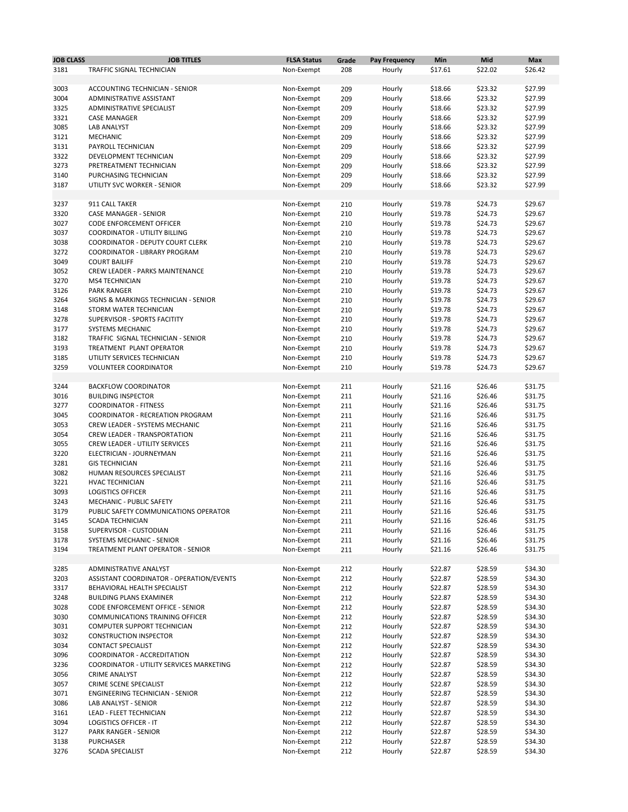| <b>JOB CLASS</b> | <b>JOB TITLES</b>                                               | <b>FLSA Status</b>       | Grade      | <b>Pay Frequency</b> | Min                | <b>Mid</b>         | <b>Max</b>         |
|------------------|-----------------------------------------------------------------|--------------------------|------------|----------------------|--------------------|--------------------|--------------------|
| 3181             | <b>TRAFFIC SIGNAL TECHNICIAN</b>                                | Non-Exempt               | 208        | Hourly               | \$17.61            | \$22.02            | \$26.42            |
|                  |                                                                 |                          |            |                      |                    |                    |                    |
| 3003             | <b>ACCOUNTING TECHNICIAN - SENIOR</b>                           | Non-Exempt               | 209        | Hourly               | \$18.66            | \$23.32            | \$27.99            |
| 3004             | ADMINISTRATIVE ASSISTANT                                        | Non-Exempt               | 209        | Hourly               | \$18.66            | \$23.32            | \$27.99            |
| 3325             | ADMINISTRATIVE SPECIALIST                                       | Non-Exempt               | 209        | Hourly               | \$18.66            | \$23.32            | \$27.99            |
| 3321             | <b>CASE MANAGER</b>                                             | Non-Exempt               | 209        | Hourly               | \$18.66            | \$23.32            | \$27.99            |
| 3085             | <b>LAB ANALYST</b>                                              | Non-Exempt               | 209        | Hourly               | \$18.66            | \$23.32            | \$27.99            |
| 3121<br>3131     | <b>MECHANIC</b><br>PAYROLL TECHNICIAN                           | Non-Exempt<br>Non-Exempt | 209<br>209 | Hourly<br>Hourly     | \$18.66<br>\$18.66 | \$23.32<br>\$23.32 | \$27.99<br>\$27.99 |
| 3322             | DEVELOPMENT TECHNICIAN                                          | Non-Exempt               | 209        | Hourly               | \$18.66            | \$23.32            | \$27.99            |
| 3273             | PRETREATMENT TECHNICIAN                                         | Non-Exempt               | 209        | Hourly               | \$18.66            | \$23.32            | \$27.99            |
| 3140             | PURCHASING TECHNICIAN                                           | Non-Exempt               | 209        | Hourly               | \$18.66            | \$23.32            | \$27.99            |
| 3187             | UTILITY SVC WORKER - SENIOR                                     | Non-Exempt               | 209        | Hourly               | \$18.66            | \$23.32            | \$27.99            |
|                  |                                                                 |                          |            |                      |                    |                    |                    |
| 3237             | 911 CALL TAKER                                                  | Non-Exempt               | 210        | Hourly               | \$19.78            | \$24.73            | \$29.67            |
| 3320             | <b>CASE MANAGER - SENIOR</b>                                    | Non-Exempt               | 210        | Hourly               | \$19.78            | \$24.73            | \$29.67            |
| 3027             | <b>CODE ENFORCEMENT OFFICER</b>                                 | Non-Exempt               | 210        | Hourly               | \$19.78            | \$24.73            | \$29.67            |
| 3037             | <b>COORDINATOR - UTILITY BILLING</b>                            | Non-Exempt               | 210        | Hourly               | \$19.78            | \$24.73            | \$29.67            |
| 3038             | <b>COORDINATOR - DEPUTY COURT CLERK</b>                         | Non-Exempt               | 210        | Hourly               | \$19.78            | \$24.73            | \$29.67            |
| 3272             | COORDINATOR - LIBRARY PROGRAM                                   | Non-Exempt               | 210        | Hourly               | \$19.78            | \$24.73            | \$29.67            |
| 3049             | <b>COURT BAILIFF</b>                                            | Non-Exempt               | 210        | Hourly               | \$19.78            | \$24.73            | \$29.67            |
| 3052<br>3270     | <b>CREW LEADER - PARKS MAINTENANCE</b><br><b>MS4 TECHNICIAN</b> | Non-Exempt<br>Non-Exempt | 210<br>210 | Hourly<br>Hourly     | \$19.78<br>\$19.78 | \$24.73<br>\$24.73 | \$29.67<br>\$29.67 |
| 3126             | <b>PARK RANGER</b>                                              | Non-Exempt               | 210        | Hourly               | \$19.78            | \$24.73            | \$29.67            |
| 3264             | SIGNS & MARKINGS TECHNICIAN - SENIOR                            | Non-Exempt               | 210        | Hourly               | \$19.78            | \$24.73            | \$29.67            |
| 3148             | STORM WATER TECHNICIAN                                          | Non-Exempt               | 210        | Hourly               | \$19.78            | \$24.73            | \$29.67            |
| 3278             | SUPERVISOR - SPORTS FACITITY                                    | Non-Exempt               | 210        | Hourly               | \$19.78            | \$24.73            | \$29.67            |
| 3177             | SYSTEMS MECHANIC                                                | Non-Exempt               | 210        | Hourly               | \$19.78            | \$24.73            | \$29.67            |
| 3182             | TRAFFIC SIGNAL TECHNICIAN - SENIOR                              | Non-Exempt               | 210        | Hourly               | \$19.78            | \$24.73            | \$29.67            |
| 3193             | TREATMENT PLANT OPERATOR                                        | Non-Exempt               | 210        | Hourly               | \$19.78            | \$24.73            | \$29.67            |
| 3185             | UTILITY SERVICES TECHNICIAN                                     | Non-Exempt               | 210        | Hourly               | \$19.78            | \$24.73            | \$29.67            |
| 3259             | <b>VOLUNTEER COORDINATOR</b>                                    | Non-Exempt               | 210        | Hourly               | \$19.78            | \$24.73            | \$29.67            |
|                  |                                                                 |                          |            |                      |                    |                    |                    |
| 3244             | <b>BACKFLOW COORDINATOR</b>                                     | Non-Exempt               | 211        | Hourly               | \$21.16            | \$26.46            | \$31.75            |
| 3016             | <b>BUILDING INSPECTOR</b><br><b>COORDINATOR - FITNESS</b>       | Non-Exempt               | 211        | Hourly               | \$21.16            | \$26.46            | \$31.75            |
| 3277<br>3045     | <b>COORDINATOR - RECREATION PROGRAM</b>                         | Non-Exempt<br>Non-Exempt | 211<br>211 | Hourly<br>Hourly     | \$21.16<br>\$21.16 | \$26.46<br>\$26.46 | \$31.75<br>\$31.75 |
| 3053             | <b>CREW LEADER - SYSTEMS MECHANIC</b>                           | Non-Exempt               | 211        | Hourly               | \$21.16            | \$26.46            | \$31.75            |
| 3054             | <b>CREW LEADER - TRANSPORTATION</b>                             | Non-Exempt               | 211        | Hourly               | \$21.16            | \$26.46            | \$31.75            |
| 3055             | <b>CREW LEADER - UTILITY SERVICES</b>                           | Non-Exempt               | 211        | Hourly               | \$21.16            | \$26.46            | \$31.75            |
| 3220             | ELECTRICIAN - JOURNEYMAN                                        | Non-Exempt               | 211        | Hourly               | \$21.16            | \$26.46            | \$31.75            |
| 3281             | <b>GIS TECHNICIAN</b>                                           | Non-Exempt               | 211        | Hourly               | \$21.16            | \$26.46            | \$31.75            |
| 3082             | HUMAN RESOURCES SPECIALIST                                      | Non-Exempt               | 211        | Hourly               | \$21.16            | \$26.46            | \$31.75            |
| 3221             | <b>HVAC TECHNICIAN</b>                                          | Non-Exempt               | 211        | Hourly               | \$21.16            | \$26.46            | \$31.75            |
| 3093             | <b>LOGISTICS OFFICER</b>                                        | Non-Exempt               | 211        | Hourly               | \$21.16            | \$26.46            | \$31.75            |
| 3243             | <b>MECHANIC - PUBLIC SAFETY</b>                                 | Non-Exempt               | 211        | Hourly               | \$21.16            | \$26.46            | \$31.75            |
| 3179             | PUBLIC SAFETY COMMUNICATIONS OPERATOR                           | Non-Exempt               | 211        | Hourly               | \$21.16            | \$26.46            | \$31.75            |
| 3145             | <b>SCADA TECHNICIAN</b>                                         | Non-Exempt               | 211        | Hourly               | \$21.16            | \$26.46            | \$31.75            |
| 3158             | SUPERVISOR - CUSTODIAN                                          | Non-Exempt               | 211        | Hourly               | \$21.16            | \$26.46            | \$31.75            |
| 3178             | <b>SYSTEMS MECHANIC - SENIOR</b>                                | Non-Exempt               | 211        | Hourly               | \$21.16            | \$26.46            | \$31.75            |
| 3194             | TREATMENT PLANT OPERATOR - SENIOR                               | Non-Exempt               | 211        | Hourly               | \$21.16            | \$26.46            | \$31.75            |
| 3285             | <b>ADMINISTRATIVE ANALYST</b>                                   | Non-Exempt               | 212        | Hourly               | \$22.87            | \$28.59            | \$34.30            |
| 3203             | ASSISTANT COORDINATOR - OPERATION/EVENTS                        | Non-Exempt               | 212        | Hourly               | \$22.87            | \$28.59            | \$34.30            |
| 3317             | BEHAVIORAL HEALTH SPECIALIST                                    | Non-Exempt               | 212        | Hourly               | \$22.87            | \$28.59            | \$34.30            |
| 3248             | <b>BUILDING PLANS EXAMINER</b>                                  | Non-Exempt               | 212        | Hourly               | \$22.87            | \$28.59            | \$34.30            |
| 3028             | <b>CODE ENFORCEMENT OFFICE - SENIOR</b>                         | Non-Exempt               | 212        | Hourly               | \$22.87            | \$28.59            | \$34.30            |
| 3030             | <b>COMMUNICATIONS TRAINING OFFICER</b>                          | Non-Exempt               | 212        | Hourly               | \$22.87            | \$28.59            | \$34.30            |
| 3031             | COMPUTER SUPPORT TECHNICIAN                                     | Non-Exempt               | 212        | Hourly               | \$22.87            | \$28.59            | \$34.30            |
| 3032             | <b>CONSTRUCTION INSPECTOR</b>                                   | Non-Exempt               | 212        | Hourly               | \$22.87            | \$28.59            | \$34.30            |
| 3034             | <b>CONTACT SPECIALIST</b>                                       | Non-Exempt               | 212        | Hourly               | \$22.87            | \$28.59            | \$34.30            |
| 3096             | COORDINATOR - ACCREDITATION                                     | Non-Exempt               | 212        | Hourly               | \$22.87            | \$28.59            | \$34.30            |
| 3236             | <b>COORDINATOR - UTILITY SERVICES MARKETING</b>                 | Non-Exempt               | 212        | Hourly               | \$22.87            | \$28.59            | \$34.30            |
| 3056             | <b>CRIME ANALYST</b>                                            | Non-Exempt               | 212        | Hourly               | \$22.87            | \$28.59            | \$34.30            |
| 3057             | CRIME SCENE SPECIALIST                                          | Non-Exempt               | 212        | Hourly               | \$22.87            | \$28.59            | \$34.30            |
| 3071<br>3086     | <b>ENGINEERING TECHNICIAN - SENIOR</b><br>LAB ANALYST - SENIOR  | Non-Exempt<br>Non-Exempt | 212<br>212 | Hourly<br>Hourly     | \$22.87<br>\$22.87 | \$28.59<br>\$28.59 | \$34.30<br>\$34.30 |
| 3161             | <b>LEAD - FLEET TECHNICIAN</b>                                  | Non-Exempt               | 212        | Hourly               | \$22.87            | \$28.59            | \$34.30            |
| 3094             | <b>LOGISTICS OFFICER - IT</b>                                   | Non-Exempt               | 212        | Hourly               | \$22.87            | \$28.59            | \$34.30            |
| 3127             | <b>PARK RANGER - SENIOR</b>                                     | Non-Exempt               | 212        | Hourly               | \$22.87            | \$28.59            | \$34.30            |
| 3138             | <b>PURCHASER</b>                                                | Non-Exempt               | 212        | Hourly               | \$22.87            | \$28.59            | \$34.30            |
| 3276             | <b>SCADA SPECIALIST</b>                                         | Non-Exempt               | 212        | Hourly               | \$22.87            | \$28.59            | \$34.30            |